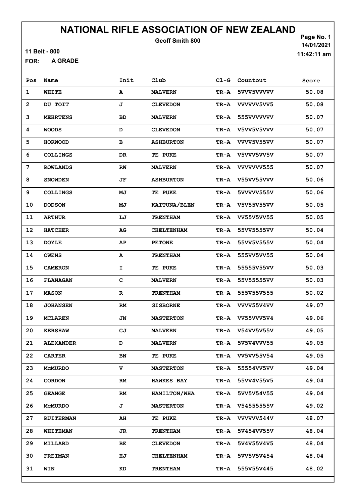11 Belt - 800

A GRADE FOR:

Page No. 1 14/01/2021 11:42:11 am

| Pos          | Name             | Init        | Club              | $CL-G$   | Countout        | Score |
|--------------|------------------|-------------|-------------------|----------|-----------------|-------|
| $\mathbf{1}$ | WHITE            | A           | <b>MALVERN</b>    | TR-A     | 5VVV5VVVVV      | 50.08 |
| $\mathbf{2}$ | DU TOIT          | J           | <b>CLEVEDON</b>   | TR-A     | VVVVV5VV5       | 50.08 |
| 3            | <b>MEHRTENS</b>  | <b>BD</b>   | <b>MALVERN</b>    | TR-A     | 555VVVVVVV      | 50.07 |
| 4            | <b>WOODS</b>     | D           | <b>CLEVEDON</b>   | TR-A     | V5VV5V5VVV      | 50.07 |
| 5            | <b>HORWOOD</b>   | в           | <b>ASHBURTON</b>  | TR-A     | VVVV5V55VV      | 50.07 |
| 6            | <b>COLLINGS</b>  | DR          | <b>TE PUKE</b>    | TR-A     | V5VVV5VV5V      | 50.07 |
| 7            | <b>ROWLANDS</b>  | RW          | <b>MALVERN</b>    | TR-A     | VVVVVVV555      | 50.07 |
| 8            | <b>SNOWDEN</b>   | JF          | <b>ASHBURTON</b>  | TR-A     | V55VV55VVV      | 50.06 |
| 9            | <b>COLLINGS</b>  | МJ          | <b>TE PUKE</b>    | TR-A     | 5VVVVV555V      | 50.06 |
| 10           | <b>DODSON</b>    | МJ          | KAITUNA/BLEN      | TR-A     | V5V55V55VV      | 50.05 |
| 11           | <b>ARTHUR</b>    | LJ          | <b>TRENTHAM</b>   | TR-A     | VV55V5VV55      | 50.05 |
| 12           | <b>HATCHER</b>   | AG          | <b>CHELTENHAM</b> | TR-A     | 55VV5555VV      | 50.04 |
| 13           | <b>DOYLE</b>     | AP          | <b>PETONE</b>     | TR-A     | 55VV5V555V      | 50.04 |
| 14           | <b>OWENS</b>     | A           | <b>TRENTHAM</b>   | TR-A     | 555VV5VV55      | 50.04 |
| 15           | <b>CAMERON</b>   | I.          | <b>TE PUKE</b>    | TR-A     | 55555V55VV      | 50.03 |
| 16           | <b>FLANAGAN</b>  | C           | <b>MALVERN</b>    | TR-A     | 55V55555VV      | 50.03 |
| 17           | <b>MASON</b>     | $\mathbf R$ | <b>TRENTHAM</b>   | TR-A     | 555V55V555      | 50.02 |
| 18           | <b>JOHANSEN</b>  | RM          | <b>GISBORNE</b>   | TR-A     | VVVV55V4VV      | 49.07 |
| 19           | <b>MCLAREN</b>   | JN          | <b>MASTERTON</b>  |          | TR-A VV55VVV5V4 | 49.06 |
| 20           | <b>KERSHAW</b>   | CJ          | <b>MALVERN</b>    | TR-A     | V54VV5V55V      | 49.05 |
| 21           | <b>ALEXANDER</b> | D           | <b>MALVERN</b>    |          | TR-A 5V5V4VVV55 | 49.05 |
| 22           | <b>CARTER</b>    | BN          | TE PUKE           | TR-A     | VV5VV55V54      | 49.05 |
| 23           | <b>MCMURDO</b>   | v           | <b>MASTERTON</b>  | TR-A     | 55554VV5VV      | 49.04 |
| 24           | <b>GORDON</b>    | RM          | <b>HAWKES BAY</b> | TR-A     | 55VV4V55V5      | 49.04 |
| 25           | <b>GEANGE</b>    | RM          | HAMILTON/WHA      | $TR - A$ | 5VV5V54V55      | 49.04 |
| 26           | <b>MCMURDO</b>   | J           | <b>MASTERTON</b>  | TR-A     | V54555555V      | 49.02 |
| 27           | <b>RUITERMAN</b> | AH          | TE PUKE           |          | TR-A VVVVVV544V | 48.07 |
| 28           | <b>WHITEMAN</b>  | JR          | <b>TRENTHAM</b>   | TR-A     | 5V454VV55V      | 48.04 |
| 29           | <b>MILLARD</b>   | ВE          | <b>CLEVEDON</b>   | TR-A     | 5V4V55V4V5      | 48.04 |
| 30           | <b>FREIMAN</b>   | HJ          | <b>CHELTENHAM</b> | TR-A     | 5VV5V5V454      | 48.04 |
| 31           | WIN              | KD          | <b>TRENTHAM</b>   | TR-A     | 555V55V445      | 48.02 |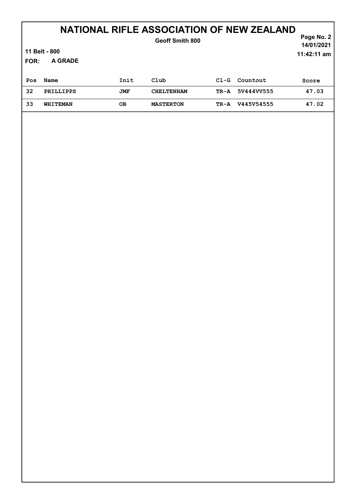## NATIONAL RIFLE ASSOCIATION OF NEW ZEALAND

| <b>FOR:</b> | 11 Belt - 800<br>A GRADE |            | Geoff Smith 800   |        |            | Page No. 2<br>14/01/2021<br>$11:42:11$ am |
|-------------|--------------------------|------------|-------------------|--------|------------|-------------------------------------------|
| Pos         | Name                     | Init       | Club              | $C1-G$ | Countout   | Score                                     |
| 32          | <b>PHILLIPPS</b>         | <b>JMF</b> | <b>CHELTENHAM</b> | TR-A   | 5V444VV555 | 47.03                                     |
| 33          | WHITEMAN                 | OВ         | <b>MASTERTON</b>  | TR-A   | V445V54555 | 47.02                                     |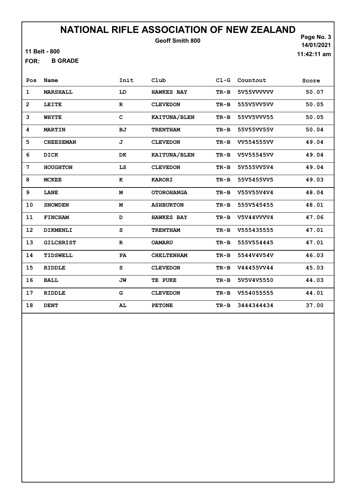11 Belt - 800

B GRADE FOR:

Page No. 3 14/01/2021

| Pos            | Name             | Init        | Club              | $C1-G$ | Countout   | Score |
|----------------|------------------|-------------|-------------------|--------|------------|-------|
| 1              | MARSHALL         | LD          | <b>HAWKES BAY</b> | $TR-B$ | 5V55VVVVVV | 50.07 |
| $\overline{2}$ | LEITE            | $\mathbf R$ | <b>CLEVEDON</b>   | $TR-B$ | 555V5VV5VV | 50.05 |
| 3              | <b>WHYTE</b>     | C           | KAITUNA/BLEN      | $TR-B$ | 55VV5VVV55 | 50.05 |
| 4              | <b>MARTIN</b>    | <b>BJ</b>   | <b>TRENTHAM</b>   | $TR-B$ | 55V55VV55V | 50.04 |
| 5              | <b>CHEESEMAN</b> | J           | <b>CLEVEDON</b>   | $TR-B$ | VV554555VV | 49.04 |
| 6              | DICK             | DK          | KAITUNA/BLEN      | $TR-B$ | V5V55545VV | 49.04 |
| 7              | <b>HOUGHTON</b>  | LS          | <b>CLEVEDON</b>   | $TR-B$ | 5V555VV5V4 | 49.04 |
| 8              | <b>MCKEE</b>     | к           | <b>KARORI</b>     | $TR-B$ | 55V5455VV5 | 49.03 |
| 9              | LANE             | M           | <b>OTOROHANGA</b> | $TR-B$ | V55V55V4V4 | 48.04 |
| 10             | <b>SNOWDEN</b>   | M           | <b>ASHBURTON</b>  | $TR-B$ | 555V545455 | 48.01 |
| 11             | <b>FINCHAM</b>   | D           | <b>HAWKES BAY</b> | $TR-B$ | V5V44VVVV4 | 47.06 |
| 12             | DIKMENLI         | S           | <b>TRENTHAM</b>   | $TR-B$ | V555435555 | 47.01 |
| 13             | <b>GILCHRIST</b> | $\mathbf R$ | <b>OAMARU</b>     | $TR-B$ | 555V554445 | 47.01 |
| 14             | TIDSWELL         | PA          | <b>CHELTENHAM</b> | $TR-B$ | 5544V4V54V | 46.03 |
| 15             | <b>RIDDLE</b>    | s           | <b>CLEVEDON</b>   | $TR-B$ | V44455VV44 | 45.03 |
| 16             | <b>BALL</b>      | JW          | TE PUKE           | $TR-B$ | 5V5V4V5550 | 44.03 |
| 17             | <b>RIDDLE</b>    | G           | <b>CLEVEDON</b>   | $TR-B$ | V554055555 | 44.01 |
| 18             | <b>DENT</b>      | AL          | <b>PETONE</b>     | $TR-B$ | 3444344434 | 37.00 |

11:42:11 am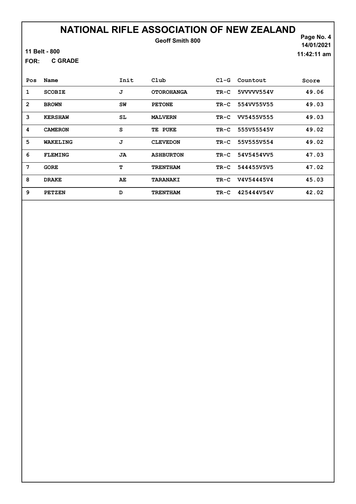11 Belt - 800

C GRADE FOR:

Page No. 4 14/01/2021 11:42:11 am

| Pos            | Name           | Init | Club              | $C1-G$ | Countout   | Score |
|----------------|----------------|------|-------------------|--------|------------|-------|
| 1              | <b>SCOBIE</b>  | J    | <b>OTOROHANGA</b> | $TR-C$ | 5VVVVV554V | 49.06 |
| $\overline{2}$ | <b>BROWN</b>   | SW   | <b>PETONE</b>     | $TR-C$ | 554VV55V55 | 49.03 |
| 3              | <b>KERSHAW</b> | SL   | <b>MALVERN</b>    | $TR-C$ | VV5455V555 | 49.03 |
| 4              | <b>CAMERON</b> | S    | PUKE<br>TE        | $TR-C$ | 555V55545V | 49.02 |
| 5              | WAKELING       | J    | <b>CLEVEDON</b>   | $TR-C$ | 55V555V554 | 49.02 |
| 6              | <b>FLEMING</b> | JA   | <b>ASHBURTON</b>  | $TR-C$ | 54V5454VV5 | 47.03 |
| 7              | <b>GORE</b>    | т    | <b>TRENTHAM</b>   | $TR-C$ | 544455V5V5 | 47.02 |
| 8              | <b>DRAKE</b>   | AE   | <b>TARANAKI</b>   | $TR-C$ | V4V54445V4 | 45.03 |
| 9              | <b>PETZEN</b>  | D    | <b>TRENTHAM</b>   | $TR-C$ | 425444V54V | 42.02 |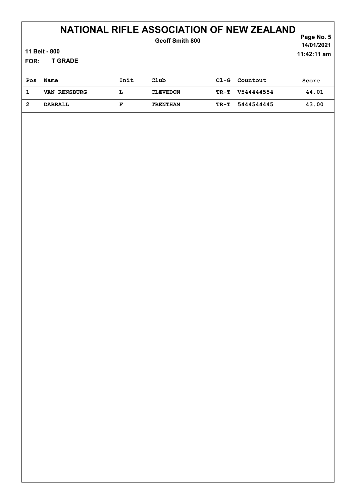## NATIONAL RIFLE ASSOCIATION OF NEW ZEALAND

| <b>FOR:</b>    | 11 Belt - 800<br><b>T GRADE</b> |      | Geoff Smith 800 |        |            | Page No. 5<br>14/01/2021<br>$11:42:11$ am |
|----------------|---------------------------------|------|-----------------|--------|------------|-------------------------------------------|
| Pos            | Name                            | Init | Club            | $C1-G$ | Countout   | Score                                     |
| 1              | VAN RENSBURG                    | L    | <b>CLEVEDON</b> | TR-T   | V544444554 | 44.01                                     |
| $\overline{2}$ | <b>DARRALL</b>                  | F    | <b>TRENTHAM</b> | TR-T   | 5444544445 | 43.00                                     |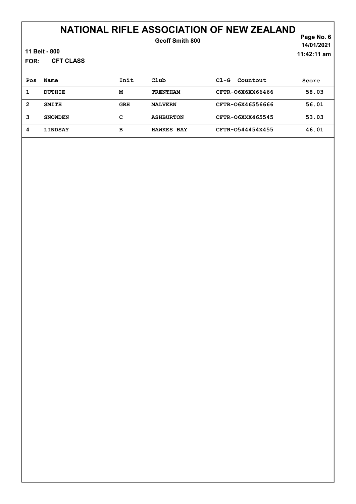# NATIONAL RIFLE ASSOCIATION OF NEW ZEALAND

| FOR:           | 11 Belt - 800<br><b>CFT CLASS</b> |      | Geoff Smith 800   |                    | Page No. 6<br>14/01/2021<br>$11:42:11$ am |
|----------------|-----------------------------------|------|-------------------|--------------------|-------------------------------------------|
| Pos            | Name                              | Init | Club              | Countout<br>$C1-G$ | Score                                     |
| 1              | <b>DUTHIE</b>                     | M    | <b>TRENTHAM</b>   | CFTR-O6X6XX66466   | 58.03                                     |
| $\overline{2}$ | <b>SMITH</b>                      | GRH  | <b>MALVERN</b>    | CFTR-06X46556666   | 56.01                                     |
| 3              | <b>SNOWDEN</b>                    | c    | <b>ASHBURTON</b>  | CFTR-06XXX465545   | 53.03                                     |
| 4              | <b>LINDSAY</b>                    | в    | <b>HAWKES BAY</b> | CFTR-0544454X455   | 46.01                                     |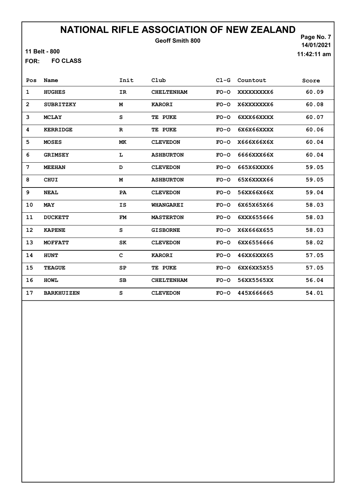11 Belt - 800

FO CLASS FOR:

Page No. 7 14/01/2021 11:42:11 am

| Pos            | Name              | Init        | Club              |        | Cl-G Countout | Score |
|----------------|-------------------|-------------|-------------------|--------|---------------|-------|
| $\mathbf 1$    | <b>HUGHES</b>     | IR          | <b>CHELTENHAM</b> | $FO-O$ | XXXXXXXXX6    | 60.09 |
| $\overline{2}$ | <b>SUBRITZKY</b>  | M           | <b>KARORI</b>     | $FO-O$ | X6XXXXXXX6    | 60.08 |
| 3              | <b>MCLAY</b>      | s           | TE PUKE           | $FO-O$ | 6XXX66XXXX    | 60.07 |
| 4              | <b>KERRIDGE</b>   | $\mathbf R$ | TE PUKE           | $FO-O$ | 6X6X66XXXX    | 60.06 |
| 5              | <b>MOSES</b>      | МK          | <b>CLEVEDON</b>   | $FO-O$ | X666X66X6X    | 60.04 |
| 6              | <b>GRIMSEY</b>    | L           | <b>ASHBURTON</b>  | $FO-O$ | 6666XXX66X    | 60.04 |
| 7              | <b>MEEHAN</b>     | D           | <b>CLEVEDON</b>   | $FO-O$ | 665X6XXXX6    | 59.05 |
| 8              | <b>CHUI</b>       | M           | <b>ASHBURTON</b>  | $FO-O$ | 65X6XXXX66    | 59.05 |
| 9              | <b>NEAL</b>       | PA          | <b>CLEVEDON</b>   | $FO-O$ | 56XX66X66X    | 59.04 |
| 10             | <b>MAY</b>        | IS          | <b>WHANGAREI</b>  | $FO-O$ | 6X65X65X66    | 58.03 |
| 11             | <b>DUCKETT</b>    | FM          | <b>MASTERTON</b>  | $FO-O$ | 6XXX655666    | 58.03 |
| 12             | <b>KAPENE</b>     | s           | <b>GISBORNE</b>   | $FO-O$ | X6X666X655    | 58.03 |
| 13             | <b>MOFFATT</b>    | SK          | <b>CLEVEDON</b>   | $FO-O$ | 6XX6556666    | 58.02 |
| 14             | <b>HUNT</b>       | C           | <b>KARORI</b>     | $FO-O$ | 46XX6XXX65    | 57.05 |
| 15             | <b>TEAGUE</b>     | SP          | TE PUKE           | $FO-O$ | 6XX6XX5X55    | 57.05 |
| 16             | <b>HOML</b>       | SB          | <b>CHELTENHAM</b> | $FO-O$ | 56XX5565XX    | 56.04 |
| 17             | <b>BARKHUIZEN</b> | S           | <b>CLEVEDON</b>   | $FO-O$ | 445X666665    | 54.01 |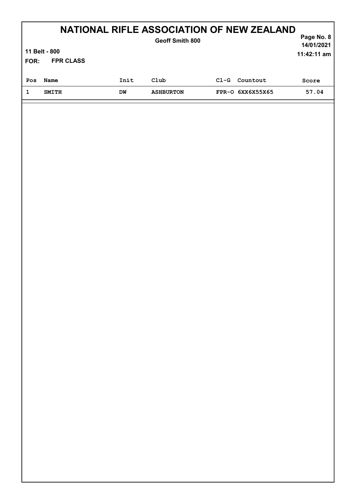|                                                            | FOR: | 11 Belt - 800<br><b>FPR CLASS</b> | <b>NATIONAL RIFLE ASSOCIATION OF NEW ZEALAND</b><br><b>Geoff Smith 800</b> |  | Page No. 8<br>14/01/2021<br>$11:42:11$ am |
|------------------------------------------------------------|------|-----------------------------------|----------------------------------------------------------------------------|--|-------------------------------------------|
| Init<br>Club<br>Countout<br>$C1-G$<br>Name<br>Pos          |      |                                   |                                                                            |  | Score                                     |
| FPR-0 6XX6X55X65<br><b>SMITH</b><br>DW<br><b>ASHBURTON</b> |      |                                   |                                                                            |  | 57.04                                     |